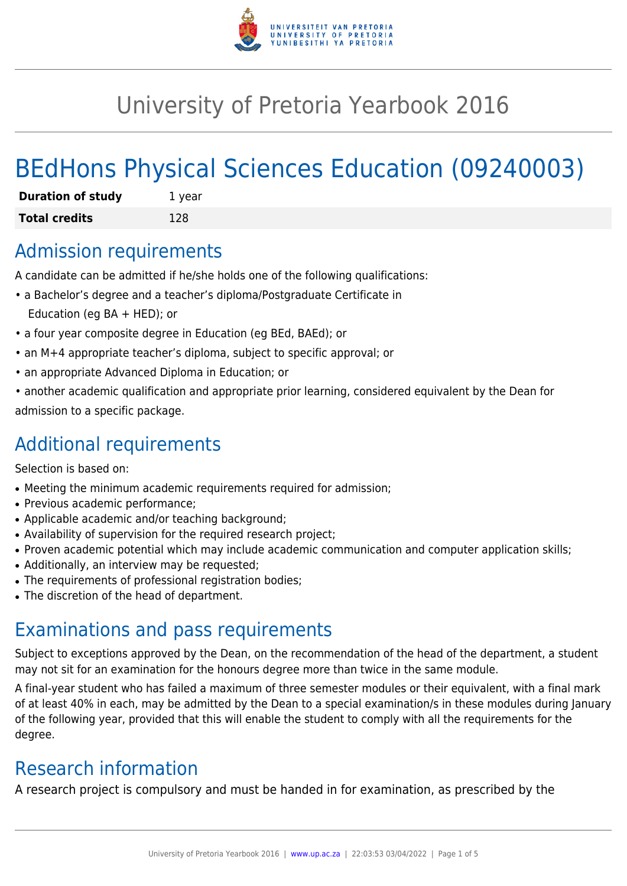

# University of Pretoria Yearbook 2016

# BEdHons Physical Sciences Education (09240003)

| <b>Duration of study</b> | 1 year |
|--------------------------|--------|
| <b>Total credits</b>     | 128    |

# Admission requirements

A candidate can be admitted if he/she holds one of the following qualifications:

- a Bachelor's degree and a teacher's diploma/Postgraduate Certificate in Education (eg BA + HED); or
- a four year composite degree in Education (eg BEd, BAEd); or
- an M+4 appropriate teacher's diploma, subject to specific approval; or
- an appropriate Advanced Diploma in Education; or
- another academic qualification and appropriate prior learning, considered equivalent by the Dean for admission to a specific package.

# Additional requirements

Selection is based on:

- Meeting the minimum academic requirements required for admission;
- Previous academic performance:
- Applicable academic and/or teaching background;
- Availability of supervision for the required research project;
- Proven academic potential which may include academic communication and computer application skills;
- Additionally, an interview may be requested;
- The requirements of professional registration bodies;
- The discretion of the head of department.

# Examinations and pass requirements

Subject to exceptions approved by the Dean, on the recommendation of the head of the department, a student may not sit for an examination for the honours degree more than twice in the same module.

A final-year student who has failed a maximum of three semester modules or their equivalent, with a final mark of at least 40% in each, may be admitted by the Dean to a special examination/s in these modules during January of the following year, provided that this will enable the student to comply with all the requirements for the degree.

# Research information

A research project is compulsory and must be handed in for examination, as prescribed by the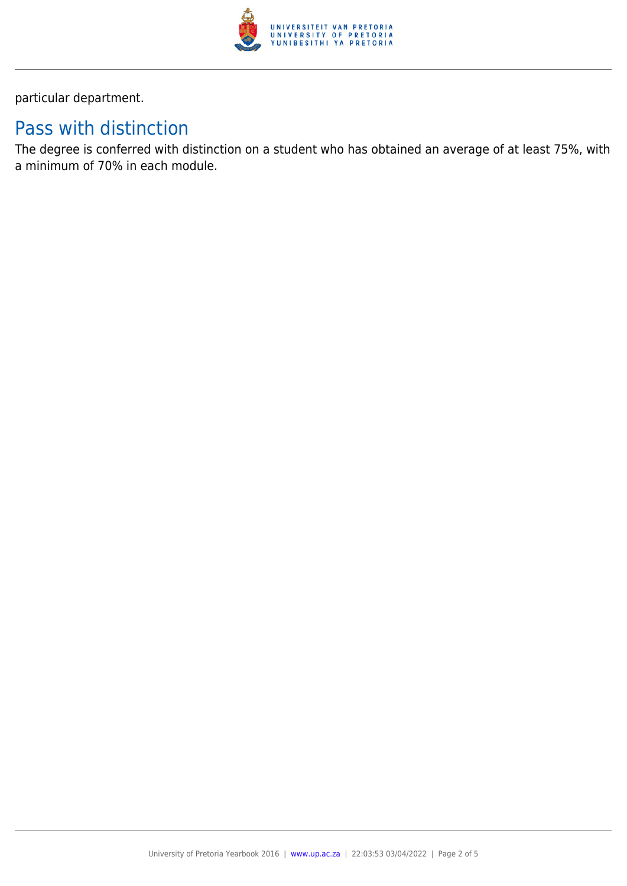

particular department.

# Pass with distinction

The degree is conferred with distinction on a student who has obtained an average of at least 75%, with a minimum of 70% in each module.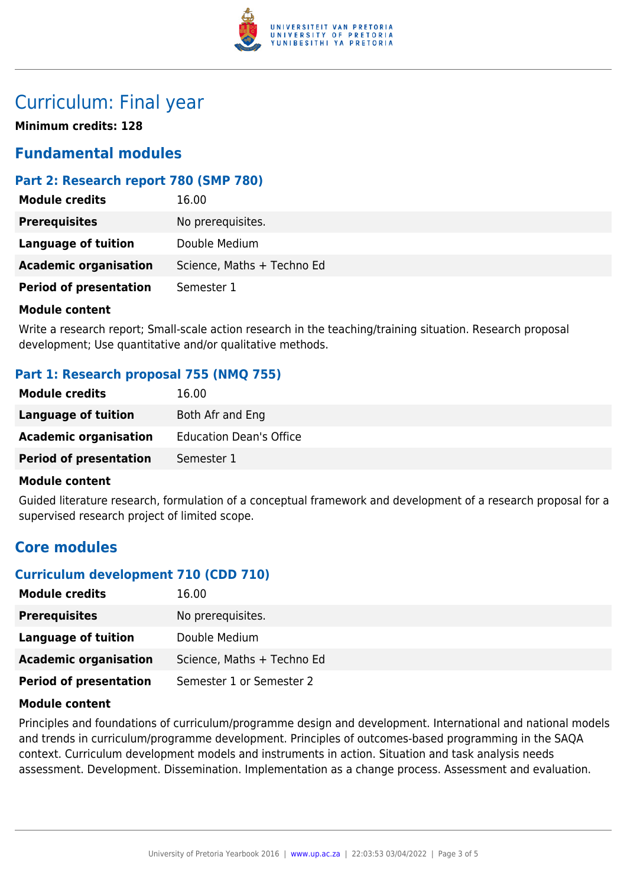

# Curriculum: Final year

**Minimum credits: 128**

# **Fundamental modules**

### **Part 2: Research report 780 (SMP 780)**

| <b>Module credits</b>         | 16.00                      |
|-------------------------------|----------------------------|
| <b>Prerequisites</b>          | No prerequisites.          |
| Language of tuition           | Double Medium              |
| <b>Academic organisation</b>  | Science, Maths + Techno Ed |
| <b>Period of presentation</b> | Semester 1                 |

#### **Module content**

Write a research report; Small-scale action research in the teaching/training situation. Research proposal development; Use quantitative and/or qualitative methods.

### **Part 1: Research proposal 755 (NMQ 755)**

| <b>Module credits</b>         | 16.00                          |
|-------------------------------|--------------------------------|
| Language of tuition           | Both Afr and Eng               |
| <b>Academic organisation</b>  | <b>Education Dean's Office</b> |
| <b>Period of presentation</b> | Semester 1                     |

#### **Module content**

Guided literature research, formulation of a conceptual framework and development of a research proposal for a supervised research project of limited scope.

# **Core modules**

# **Curriculum development 710 (CDD 710)**

| <b>Module credits</b>         | 16.00                      |
|-------------------------------|----------------------------|
| <b>Prerequisites</b>          | No prerequisites.          |
| Language of tuition           | Double Medium              |
| <b>Academic organisation</b>  | Science, Maths + Techno Ed |
| <b>Period of presentation</b> | Semester 1 or Semester 2   |

### **Module content**

Principles and foundations of curriculum/programme design and development. International and national models and trends in curriculum/programme development. Principles of outcomes-based programming in the SAQA context. Curriculum development models and instruments in action. Situation and task analysis needs assessment. Development. Dissemination. Implementation as a change process. Assessment and evaluation.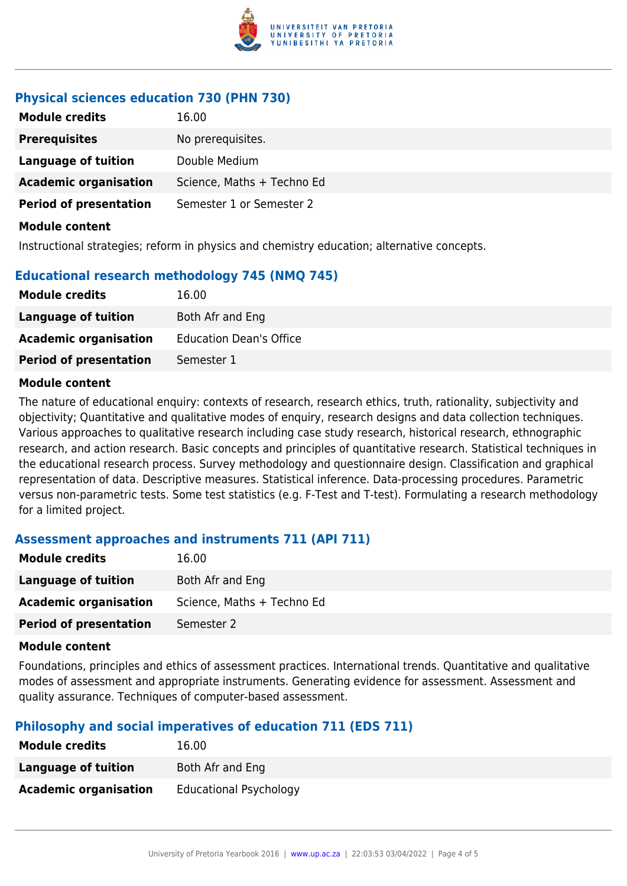

### **Physical sciences education 730 (PHN 730)**

| <b>Module credits</b>         | 16.00                      |
|-------------------------------|----------------------------|
| <b>Prerequisites</b>          | No prerequisites.          |
| <b>Language of tuition</b>    | Double Medium              |
| <b>Academic organisation</b>  | Science, Maths + Techno Ed |
| <b>Period of presentation</b> | Semester 1 or Semester 2   |
| <b>Module content</b>         |                            |

Instructional strategies; reform in physics and chemistry education; alternative concepts.

### **Educational research methodology 745 (NMQ 745)**

| <b>Module credits</b>         | 16.00                          |
|-------------------------------|--------------------------------|
| Language of tuition           | Both Afr and Eng               |
| <b>Academic organisation</b>  | <b>Education Dean's Office</b> |
| <b>Period of presentation</b> | Semester 1                     |
|                               |                                |

#### **Module content**

The nature of educational enquiry: contexts of research, research ethics, truth, rationality, subjectivity and objectivity; Quantitative and qualitative modes of enquiry, research designs and data collection techniques. Various approaches to qualitative research including case study research, historical research, ethnographic research, and action research. Basic concepts and principles of quantitative research. Statistical techniques in the educational research process. Survey methodology and questionnaire design. Classification and graphical representation of data. Descriptive measures. Statistical inference. Data-processing procedures. Parametric versus non-parametric tests. Some test statistics (e.g. F-Test and T-test). Formulating a research methodology for a limited project.

#### **Assessment approaches and instruments 711 (API 711)**

| <b>Module credits</b>         | 16.00                      |
|-------------------------------|----------------------------|
| <b>Language of tuition</b>    | Both Afr and Eng           |
| <b>Academic organisation</b>  | Science, Maths + Techno Ed |
| <b>Period of presentation</b> | Semester 2                 |
|                               |                            |

#### **Module content**

Foundations, principles and ethics of assessment practices. International trends. Quantitative and qualitative modes of assessment and appropriate instruments. Generating evidence for assessment. Assessment and quality assurance. Techniques of computer-based assessment.

### **Philosophy and social imperatives of education 711 (EDS 711)**

| <b>Module credits</b>        | 16.00                         |
|------------------------------|-------------------------------|
| Language of tuition          | Both Afr and Eng              |
| <b>Academic organisation</b> | <b>Educational Psychology</b> |